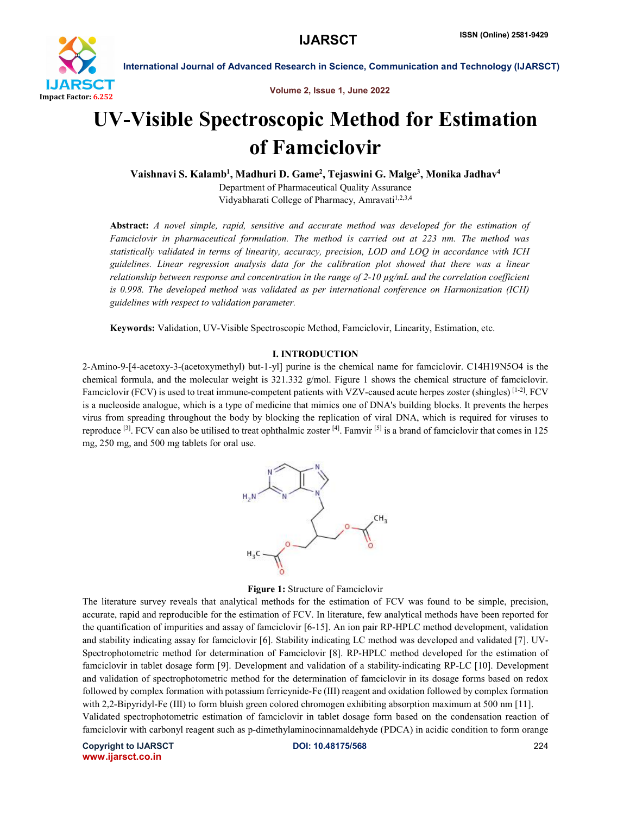

Volume 2, Issue 1, June 2022

# UV-Visible Spectroscopic Method for Estimation of Famciclovir

Vaishnavi S. Kalamb<sup>1</sup>, Madhuri D. Game<sup>2</sup>, Tejaswini G. Malge<sup>3</sup>, Monika Jadhav<sup>4</sup>

Department of Pharmaceutical Quality Assurance Vidyabharati College of Pharmacy, Amravati<sup>1,2,3,4</sup>

Abstract: *A novel simple, rapid, sensitive and accurate method was developed for the estimation of Famciclovir in pharmaceutical formulation. The method is carried out at 223 nm. The method was statistically validated in terms of linearity, accuracy, precision, LOD and LOQ in accordance with ICH guidelines. Linear regression analysis data for the calibration plot showed that there was a linear relationship between response and concentration in the range of 2-10 µg/mL and the correlation coefficient is 0.998. The developed method was validated as per international conference on Harmonization (ICH) guidelines with respect to validation parameter.*

Keywords: Validation, UV-Visible Spectroscopic Method, Famciclovir, Linearity, Estimation, etc.

# I. INTRODUCTION

2-Amino-9-[4-acetoxy-3-(acetoxymethyl) but-1-yl] purine is the chemical name for famciclovir. C14H19N5O4 is the chemical formula, and the molecular weight is 321.332 g/mol. Figure 1 shows the chemical structure of famciclovir. Famciclovir (FCV) is used to treat immune-competent patients with VZV-caused acute herpes zoster (shingles) [1-2]. FCV is a nucleoside analogue, which is a type of medicine that mimics one of DNA's building blocks. It prevents the herpes virus from spreading throughout the body by blocking the replication of viral DNA, which is required for viruses to reproduce <sup>[3]</sup>. FCV can also be utilised to treat ophthalmic zoster [4]. Famvir [5] is a brand of famciclovir that comes in 125 mg, 250 mg, and 500 mg tablets for oral use.



#### Figure 1: Structure of Famciclovir

The literature survey reveals that analytical methods for the estimation of FCV was found to be simple, precision, accurate, rapid and reproducible for the estimation of FCV. In literature, few analytical methods have been reported for the quantification of impurities and assay of famciclovir [6-15]. An ion pair RP-HPLC method development, validation and stability indicating assay for famciclovir [6]. Stability indicating LC method was developed and validated [7]. UV-Spectrophotometric method for determination of Famciclovir [8]. RP-HPLC method developed for the estimation of famciclovir in tablet dosage form [9]. Development and validation of a stability-indicating RP-LC [10]. Development and validation of spectrophotometric method for the determination of famciclovir in its dosage forms based on redox followed by complex formation with potassium ferricynide-Fe (III) reagent and oxidation followed by complex formation with 2,2-Bipyridyl-Fe (III) to form bluish green colored chromogen exhibiting absorption maximum at 500 nm [11]. Validated spectrophotometric estimation of famciclovir in tablet dosage form based on the condensation reaction of famciclovir with carbonyl reagent such as p-dimethylaminocinnamaldehyde (PDCA) in acidic condition to form orange

Copyright to IJARSCT **DOI: 10.48175/568** 224 www.ijarsct.co.in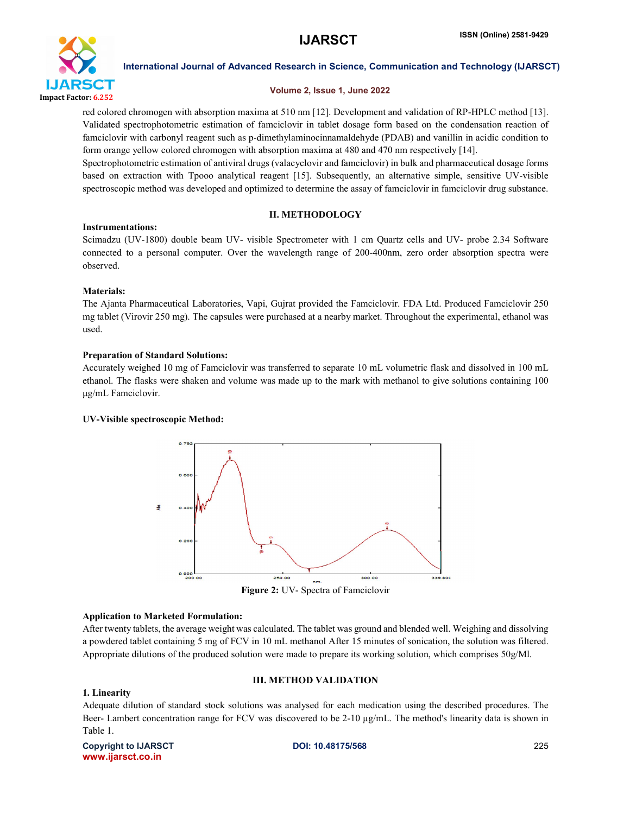

# Volume 2, Issue 1, June 2022

red colored chromogen with absorption maxima at 510 nm [12]. Development and validation of RP-HPLC method [13]. Validated spectrophotometric estimation of famciclovir in tablet dosage form based on the condensation reaction of famciclovir with carbonyl reagent such as p-dimethylaminocinnamaldehyde (PDAB) and vanillin in acidic condition to form orange yellow colored chromogen with absorption maxima at 480 and 470 nm respectively [14].

Spectrophotometric estimation of antiviral drugs (valacyclovir and famciclovir) in bulk and pharmaceutical dosage forms based on extraction with Tpooo analytical reagent [15]. Subsequently, an alternative simple, sensitive UV-visible spectroscopic method was developed and optimized to determine the assay of famciclovir in famciclovir drug substance.

# II. METHODOLOGY

Instrumentations: Scimadzu (UV-1800) double beam UV- visible Spectrometer with 1 cm Quartz cells and UV- probe 2.34 Software connected to a personal computer. Over the wavelength range of 200-400nm, zero order absorption spectra were observed.

# Materials:

The Ajanta Pharmaceutical Laboratories, Vapi, Gujrat provided the Famciclovir. FDA Ltd. Produced Famciclovir 250 mg tablet (Virovir 250 mg). The capsules were purchased at a nearby market. Throughout the experimental, ethanol was used.

# Preparation of Standard Solutions:

Accurately weighed 10 mg of Famciclovir was transferred to separate 10 mL volumetric flask and dissolved in 100 mL ethanol. The flasks were shaken and volume was made up to the mark with methanol to give solutions containing 100 μg/mL Famciclovir.

# UV-Visible spectroscopic Method:



#### Application to Marketed Formulation:

After twenty tablets, the average weight was calculated. The tablet was ground and blended well. Weighing and dissolving a powdered tablet containing 5 mg of FCV in 10 mL methanol After 15 minutes of sonication, the solution was filtered. Appropriate dilutions of the produced solution were made to prepare its working solution, which comprises 50g/Ml.

# III. METHOD VALIDATION

# 1. Linearity

Adequate dilution of standard stock solutions was analysed for each medication using the described procedures. The Beer- Lambert concentration range for FCV was discovered to be 2-10 µg/mL. The method's linearity data is shown in Table 1.

Copyright to IJARSCT **DOI: 10.48175/568** 225 www.ijarsct.co.in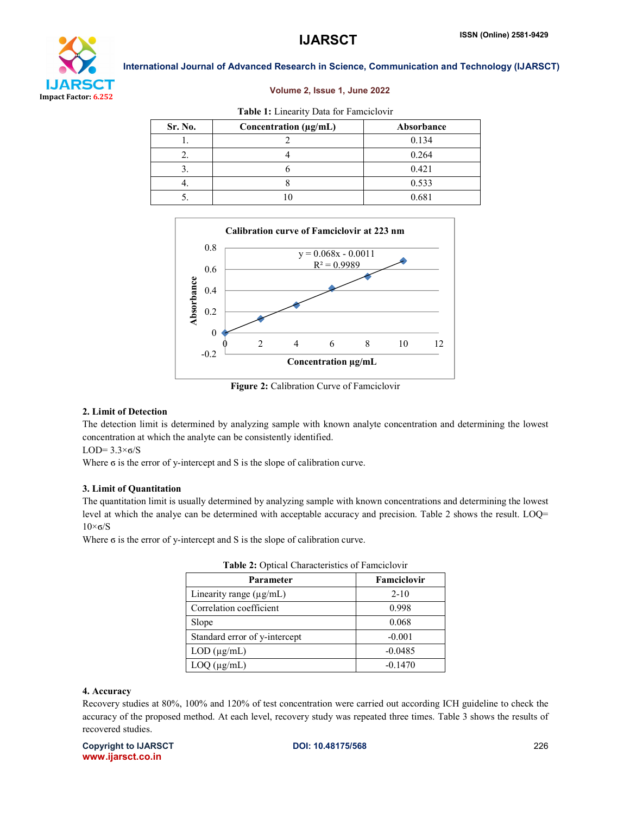

#### Volume 2, Issue 1, June 2022

| Table 1: Linearity Data for Famciclovir |                       |            |  |  |  |
|-----------------------------------------|-----------------------|------------|--|--|--|
| Sr. No.                                 | Concentration (µg/mL) | Absorbance |  |  |  |
|                                         |                       | 0.134      |  |  |  |
| 2.                                      |                       | 0.264      |  |  |  |
|                                         |                       | 0.421      |  |  |  |
|                                         |                       | 0.533      |  |  |  |
|                                         |                       | 0.681      |  |  |  |



#### Figure 2: Calibration Curve of Famciclovir

Concentration µg/mL

#### 2. Limit of Detection

The detection limit is determined by analyzing sample with known analyte concentration and determining the lowest concentration at which the analyte can be consistently identified.

LOD=  $3.3\times 6/S$ 

Where ϭ is the error of y-intercept and S is the slope of calibration curve.

#### 3. Limit of Quantitation

The quantitation limit is usually determined by analyzing sample with known concentrations and determining the lowest level at which the analye can be determined with acceptable accuracy and precision. Table 2 shows the result. LOQ=  $10\times$ σ/S

Where σ is the error of y-intercept and S is the slope of calibration curve.

| Parameter                     | Famciclovir |  |
|-------------------------------|-------------|--|
| Linearity range $(\mu g/mL)$  | $2 - 10$    |  |
| Correlation coefficient       | 0.998       |  |
| Slope                         | 0.068       |  |
| Standard error of y-intercept | $-0.001$    |  |
| $LOD$ ( $\mu$ g/mL)           | $-0.0485$   |  |
| $LOQ$ ( $\mu$ g/mL)           | $-0.1470$   |  |

#### 4. Accuracy

Recovery studies at 80%, 100% and 120% of test concentration were carried out according ICH guideline to check the accuracy of the proposed method. At each level, recovery study was repeated three times. Table 3 shows the results of recovered studies.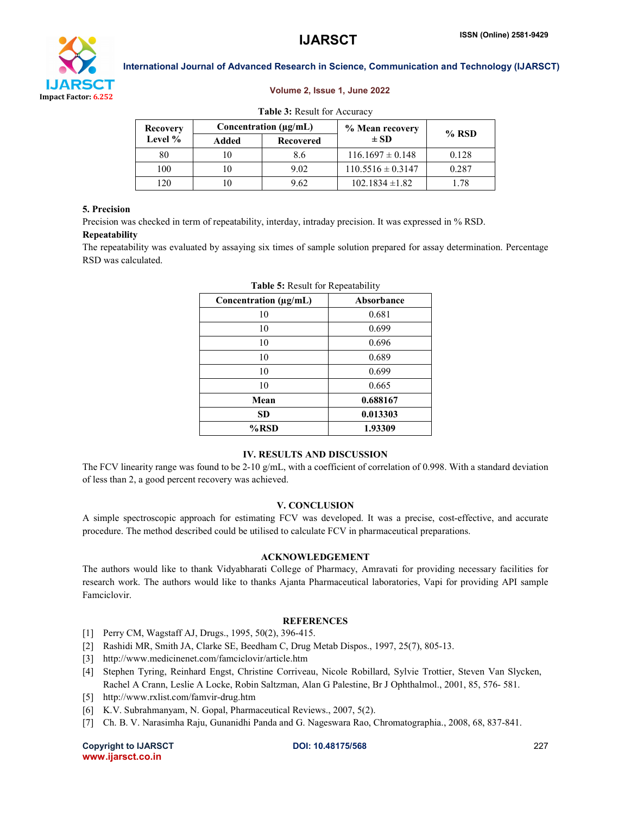

#### Volume 2, Issue 1, June 2022

| Recovery<br>Level % | Concentration $(\mu g/mL)$ |                  | % Mean recovery       | $%$ RSD |
|---------------------|----------------------------|------------------|-----------------------|---------|
|                     | Added                      | <b>Recovered</b> | $\pm$ SD              |         |
| 80                  |                            | 8.6              | $116.1697 \pm 0.148$  | 0.128   |
| 100                 |                            | 9.02             | $110.5516 \pm 0.3147$ | 0.287   |
| 120                 |                            | 9.62             | $102.1834 \pm 1.82$   | 1 78    |

# 5. Precision

Precision was checked in term of repeatability, interday, intraday precision. It was expressed in % RSD.

#### Repeatability

The repeatability was evaluated by assaying six times of sample solution prepared for assay determination. Percentage RSD was calculated.

| Concentration $(\mu g/mL)$ | Absorbance |  |  |
|----------------------------|------------|--|--|
| 10                         | 0.681      |  |  |
| 10                         | 0.699      |  |  |
| 10                         | 0.696      |  |  |
| 10                         | 0.689      |  |  |
| 10                         | 0.699      |  |  |
| 10                         | 0.665      |  |  |
| Mean                       | 0.688167   |  |  |
| <b>SD</b>                  | 0.013303   |  |  |
| %RSD                       | 1.93309    |  |  |

| Table 5: Result for Repeatability |  |  |  |  |
|-----------------------------------|--|--|--|--|
|-----------------------------------|--|--|--|--|

#### IV. RESULTS AND DISCUSSION

The FCV linearity range was found to be 2-10 g/mL, with a coefficient of correlation of 0.998. With a standard deviation of less than 2, a good percent recovery was achieved.

#### V. CONCLUSION

A simple spectroscopic approach for estimating FCV was developed. It was a precise, cost-effective, and accurate procedure. The method described could be utilised to calculate FCV in pharmaceutical preparations.

#### ACKNOWLEDGEMENT

The authors would like to thank Vidyabharati College of Pharmacy, Amravati for providing necessary facilities for research work. The authors would like to thanks Ajanta Pharmaceutical laboratories, Vapi for providing API sample Famciclovir.

### **REFERENCES**

- [1] Perry CM, Wagstaff AJ, Drugs., 1995, 50(2), 396-415.
- [2] Rashidi MR, Smith JA, Clarke SE, Beedham C, Drug Metab Dispos., 1997, 25(7), 805-13.
- [3] http://www.medicinenet.com/famciclovir/article.htm
- [4] Stephen Tyring, Reinhard Engst, Christine Corriveau, Nicole Robillard, Sylvie Trottier, Steven Van Slycken, Rachel A Crann, Leslie A Locke, Robin Saltzman, Alan G Palestine, Br J Ophthalmol., 2001, 85, 576- 581.
- [5] http://www.rxlist.com/famvir-drug.htm
- [6] K.V. Subrahmanyam, N. Gopal, Pharmaceutical Reviews., 2007, 5(2).
- [7] Ch. B. V. Narasimha Raju, Gunanidhi Panda and G. Nageswara Rao, Chromatographia., 2008, 68, 837-841.

Copyright to IJARSCT **DOI: 10.48175/568** 227 www.ijarsct.co.in